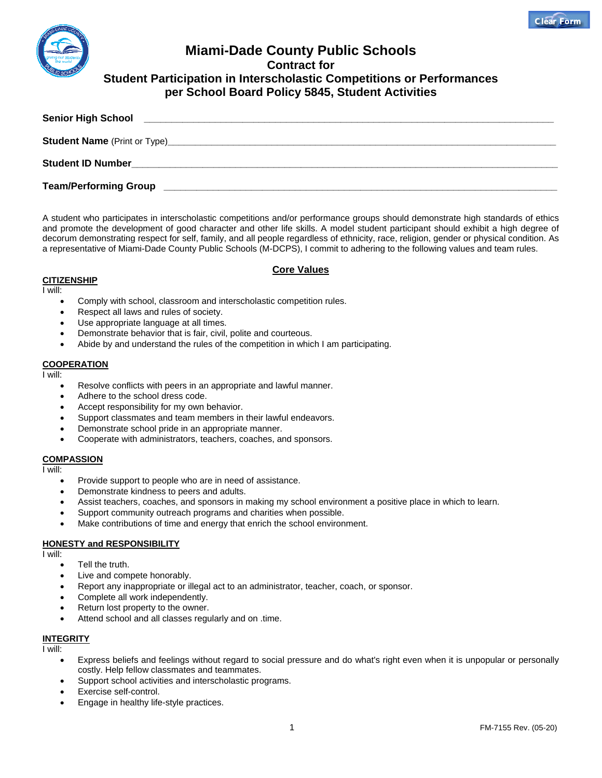

# **Miami-Dade County Public Schools Contract for Student Participation in Interscholastic Competitions or Performances per School Board Policy 5845, Student Activities**

| <b>Senior High School</b>    |  |  |
|------------------------------|--|--|
|                              |  |  |
|                              |  |  |
| <b>Team/Performing Group</b> |  |  |

A student who participates in interscholastic competitions and/or performance groups should demonstrate high standards of ethics and promote the development of good character and other life skills. A model student participant should exhibit a high degree of decorum demonstrating respect for self, family, and all people regardless of ethnicity, race, religion, gender or physical condition. As a representative of Miami-Dade County Public Schools (M-DCPS), I commit to adhering to the following values and team rules.

## **Core Values**

#### **CITIZENSHIP**

I will:

- Comply with school, classroom and interscholastic competition rules.
- Respect all laws and rules of society.
- Use appropriate language at all times.
- Demonstrate behavior that is fair, civil, polite and courteous.
- Abide by and understand the rules of the competition in which I am participating.

## **COOPERATION**

I will:

- Resolve conflicts with peers in an appropriate and lawful manner.
- Adhere to the school dress code.
- Accept responsibility for my own behavior.
- Support classmates and team members in their lawful endeavors.
- Demonstrate school pride in an appropriate manner.
- Cooperate with administrators, teachers, coaches, and sponsors.

# **COMPASSION**

I will:

- Provide support to people who are in need of assistance.
- Demonstrate kindness to peers and adults.
- Assist teachers, coaches, and sponsors in making my school environment a positive place in which to learn.
- Support community outreach programs and charities when possible.
- Make contributions of time and energy that enrich the school environment.

# **HONESTY and RESPONSIBILITY**

I will:

- Tell the truth.
- Live and compete honorably.
- Report any inappropriate or illegal act to an administrator, teacher, coach, or sponsor.
- Complete all work independently.
- Return lost property to the owner.
- Attend school and all classes regularly and on .time.

# **INTEGRITY**

I will:

- Express beliefs and feelings without regard to social pressure and do what's right even when it is unpopular or personally costly. Help fellow classmates and teammates.
- Support school activities and interscholastic programs.
- Exercise self-control.
- Engage in healthy life-style practices.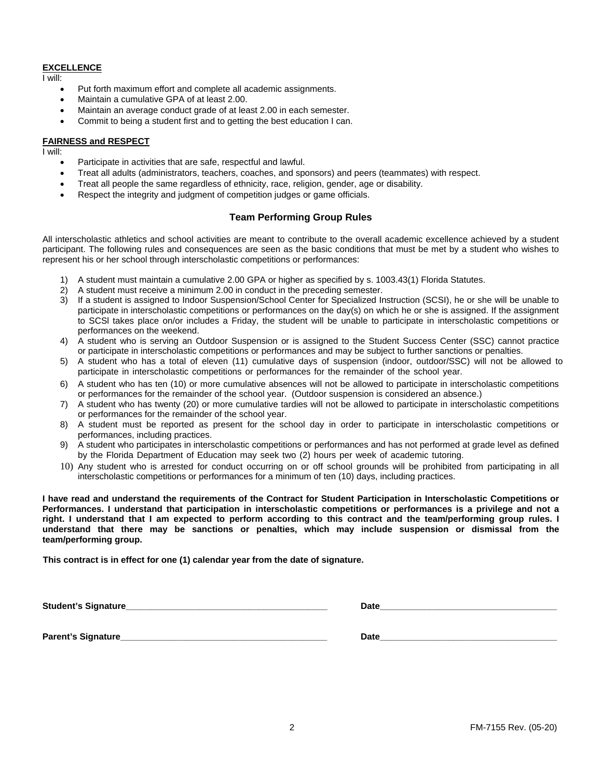#### **EXCELLENCE**

I will:

- Put forth maximum effort and complete all academic assignments.
- Maintain a cumulative GPA of at least 2.00.
- Maintain an average conduct grade of at least 2.00 in each semester.
- Commit to being a student first and to getting the best education I can.

#### **FAIRNESS and RESPECT**

I will:

- Participate in activities that are safe, respectful and lawful.
- Treat all adults (administrators, teachers, coaches, and sponsors) and peers (teammates) with respect.
- Treat all people the same regardless of ethnicity, race, religion, gender, age or disability.
- Respect the integrity and judgment of competition judges or game officials.

# **Team Performing Group Rules**

All interscholastic athletics and school activities are meant to contribute to the overall academic excellence achieved by a student participant. The following rules and consequences are seen as the basic conditions that must be met by a student who wishes to represent his or her school through interscholastic competitions or performances:

- 1) A student must maintain a cumulative 2.00 GPA or higher as specified by s. 1003.43(1) Florida Statutes.
- 2) A student must receive a minimum 2.00 in conduct in the preceding semester.
- 3) If a student is assigned to Indoor Suspension/School Center for Specialized Instruction (SCSI), he or she will be unable to participate in interscholastic competitions or performances on the day(s) on which he or she is assigned. If the assignment to SCSl takes place on/or includes a Friday, the student will be unable to participate in interscholastic competitions or performances on the weekend.
- 4) A student who is serving an Outdoor Suspension or is assigned to the Student Success Center (SSC) cannot practice or participate in interscholastic competitions or performances and may be subject to further sanctions or penalties.
- 5) A student who has a total of eleven (11) cumulative days of suspension (indoor, outdoor/SSC) will not be allowed to participate in interscholastic competitions or performances for the remainder of the school year.
- 6) A student who has ten (10) or more cumulative absences will not be allowed to participate in interscholastic competitions or performances for the remainder of the school year. (Outdoor suspension is considered an absence.)
- 7) A student who has twenty (20) or more cumulative tardies will not be allowed to participate in interscholastic competitions or performances for the remainder of the school year.
- 8) A student must be reported as present for the school day in order to participate in interscholastic competitions or performances, including practices.
- 9) A student who participates in interscholastic competitions or performances and has not performed at grade level as defined by the Florida Department of Education may seek two (2) hours per week of academic tutoring.
- 10) Any student who is arrested for conduct occurring on or off school grounds will be prohibited from participating in all interscholastic competitions or performances for a minimum of ten (10) days, including practices.

**I have read and understand the requirements of the Contract for Student Participation in Interscholastic Competitions or Performances. I understand that participation in interscholastic competitions or performances is a privilege and not a right. I understand that I am expected to perform according to this contract and the team/performing group rules. I understand that there may be sanctions or penalties, which may include suspension or dismissal from the team/performing group.** 

**This contract is in effect for one (1) calendar year from the date of signature.**

**Student's Signature Parent's Signature example of the straight of the straight of the straight of the straight of the straight of the straight of the straight of the straight of the straight of the straight of the straight of the straight of**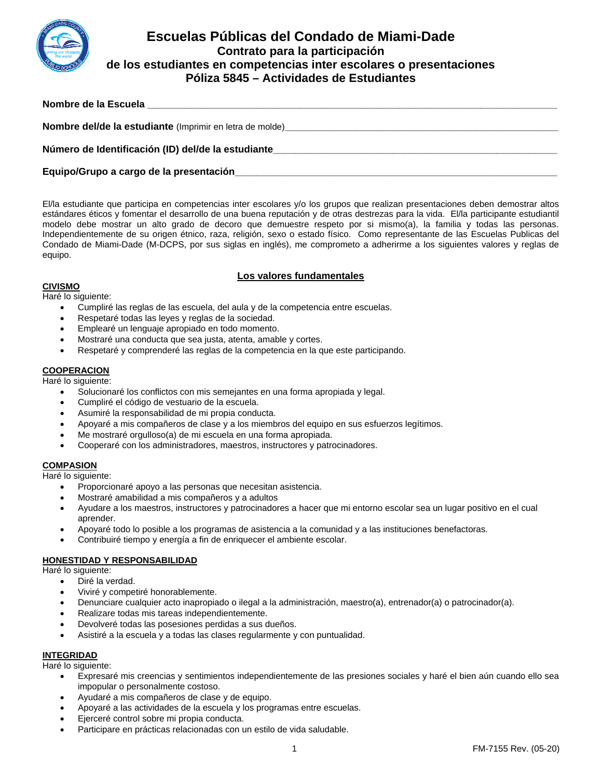

# **Escuelas Públicas del Condado de Miami-Dade Contrato para la participación de los estudiantes en competencias inter escolares o presentaciones Póliza 5845 – Actividades de Estudiantes**

| Nombre de la Escuela |  |  |
|----------------------|--|--|
|                      |  |  |

| Nombre del/de la estudiante (Imprimir en letra de molde) |  |
|----------------------------------------------------------|--|
| Número de Identificación (ID) del/de la estudiante       |  |

# **Equipo/Grupo a cargo de la presentación\_\_\_\_\_\_\_\_\_\_\_\_\_\_\_\_\_\_\_\_\_\_\_\_\_\_\_\_\_\_\_\_\_\_\_\_\_\_\_\_\_\_\_\_\_\_\_\_\_\_\_\_\_\_\_\_\_\_\_**

El/la estudiante que participa en competencias inter escolares y/o los grupos que realizan presentaciones deben demostrar altos estándares éticos y fomentar el desarrollo de una buena reputación y de otras destrezas para la vida. El/la participante estudiantil modelo debe mostrar un alto grado de decoro que demuestre respeto por si mismo(a), la familia y todas las personas. Independientemente de su origen étnico, raza, religión, sexo o estado físico. Como representante de las Escuelas Publicas del Condado de Miami-Dade (M-DCPS, por sus siglas en inglés), me comprometo a adherirme a los siguientes valores y reglas de equipo.

# **Los valores fundamentales**

## **CIVISMO**

Haré lo siguiente:

- Cumpliré las reglas de las escuela, del aula y de la competencia entre escuelas.
- Respetaré todas las leyes y reglas de la sociedad.
- Emplearé un lenguaje apropiado en todo momento.
- Mostraré una conducta que sea justa, atenta, amable y cortes.
- Respetaré y comprenderé las reglas de la competencia en la que este participando.

# **COOPERACION**

Haré lo siguiente:

- Solucionaré los conflictos con mis semejantes en una forma apropiada y legal.
- Cumpliré el código de vestuario de la escuela.
- Asumiré la responsabilidad de mi propia conducta.
- Apoyaré a mis compañeros de clase y a los miembros del equipo en sus esfuerzos legítimos.
- Me mostraré orgulloso(a) de mi escuela en una forma apropiada.
- Cooperaré con los administradores, maestros, instructores y patrocinadores.

# **COMPASION**

Haré lo siguiente:

- Proporcionaré apoyo a las personas que necesitan asistencia.
- Mostraré amabilidad a mis compañeros y a adultos
- Ayudare a los maestros, instructores y patrocinadores a hacer que mi entorno escolar sea un lugar positivo en el cual aprender.
- Apoyaré todo lo posible a los programas de asistencia a la comunidad y a las instituciones benefactoras.
- Contribuiré tiempo y energía a fin de enriquecer el ambiente escolar.

# **HONESTIDAD Y RESPONSABILIDAD**

Haré lo siguiente:

- Diré la verdad.
- Viviré y competiré honorablemente.
- Denunciare cualquier acto inapropiado o ilegal a la administración, maestro(a), entrenador(a) o patrocinador(a).
- Realizare todas mis tareas independientemente.
- Devolveré todas las posesiones perdidas a sus dueños.
- Asistiré a la escuela y a todas las clases regularmente y con puntualidad.

# **INTEGRIDAD**

Haré lo siguiente:

- Expresaré mis creencias y sentimientos independientemente de las presiones sociales y haré el bien aún cuando ello sea impopular o personalmente costoso.
- Ayudaré a mis compañeros de clase y de equipo.
- Apoyaré a las actividades de la escuela y los programas entre escuelas.
- Ejerceré control sobre mi propia conducta.
- Participare en prácticas relacionadas con un estilo de vida saludable.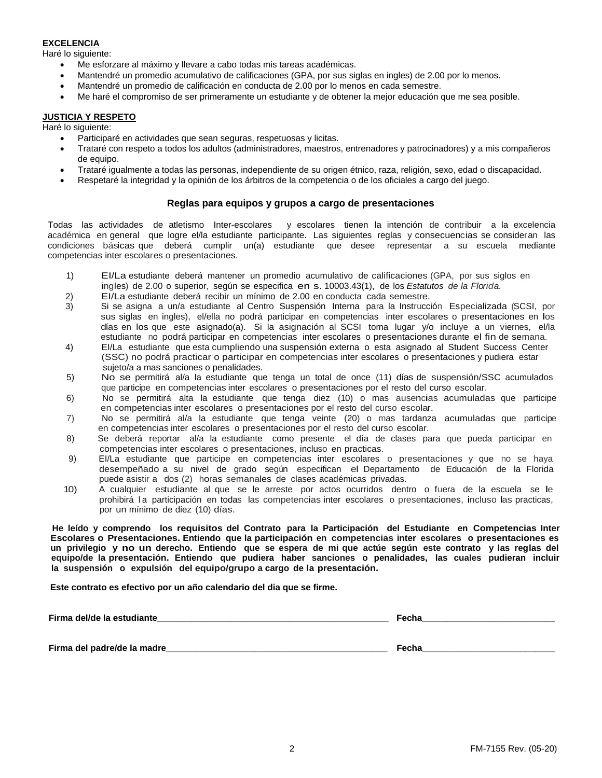# **EXCELENCIA**

Haré lo siguiente:

- Me esforzare al máximo y llevare a cabo todas mis tareas académicas.
- Mantendré un promedio acumulativo de calificaciones (GPA, por sus siglas en ingles) de 2.00 por lo menos.
- Mantendré un promedio de calificación en conducta de 2.00 por lo menos en cada semestre.
- Me haré el compromiso de ser primeramente un estudiante y de obtener la mejor educación que me sea posible.

## **JUSTICIA Y RESPETO**

Haré lo siguiente:

- Participaré en actividades que sean seguras, respetuosas y licitas.
- Trataré con respeto a todos los adultos (administradores, maestros, entrenadores y patrocinadores) y a mis compañeros de equipo.
- Trataré igualmente a todas las personas, independiente de su origen étnico, raza, religión, sexo, edad o discapacidad.
- Respetaré la integridad y la opinión de los árbitros de la competencia o de los oficiales a cargo del juego.

## **Reglas para equipos y grupos a cargo de presentaciones**

Todas las actividades de atletismo Inter-escolares y escolares tienen la intención de contribuir a la excelencia académica en general que logre el/la estudiante participante. Las siguientes reglas y consecuencias se consideran las condiciones básicas que deberá cumplir un(a) estudiante que desee representar a su escuela mediante competencias inter escolares o presentaciones.

- 1) EI/La estudiante deberá mantener un promedio acumulativo de calificaciones (GPA, por sus siglos en
- ingles) de 2.00 o superior, según se especifica en s. 10003.43(1), de los *Estatutos de la Florida.*
- 2) EI/La estudiante deberá recibir un mínimo de 2.00 en conducta cada semestre.
- 3) Si se asigna a un/a estudiante al Centro Suspensión Interna para la Instrucción Especializada (SCSI, por sus siglas en ingles), el/ella no podrá participar en competencias inter escolares o presentaciones en los días en los que este asignado(a). Si la asignación al SCSI toma lugar y/o incluye a un viernes, el/la estudiante no podrá participar en competencias inter escolares o presentaciones durante el fin de semana.
- 4) EI/La estudiante que esta cumpliendo una suspensión externa o esta asignado al Student Success Center (SSC) no podrá practicar o participar en competencias inter escolares o presentaciones y pudiera estar sujeto/a a mas sanciones o penalidades.
- 5) No se permitirá al/a la estudiante que tenga un total de once (11) días de suspensión/SSC acumulados que participe en competencias inter escolares o presentaciones por el resto del curso escolar.
- 6) No se permitirá alta la estudiante que tenga diez (10) o mas ausencias acumuladas que participe en competencias inter escolares o presentaciones por el resto del curso escolar.
- 7) No se permitirá al/a la estudiante que tenga veinte (20) o mas tardanza acumuladas que participe en competencias inter escolares o presentaciones por el resto del curso escolar.
- 8) Se deberá reportar al/a la estudiante como presente el día de clases para que pueda participar en competencias inter escolares o presentaciones, incluso en practicas.
- 9) EI/La estudiante que participe en competencias inter escolares o presentaciones y que no se haya desempeñado a su nivel de grado según especifican el Departamento de Educación de la Florida puede asistir a dos (2) horas semanales de clases académicas privadas.
- 10) A cualquier estudiante al que se le arreste por actos ocurridos dentro o fuera de la escuela se le prohibirá la participación en todas las competencias inter escolares o presentaciones, incluso las practicas, por un mínimo de diez (10) días.

**He leído y comprendo los requisitos del Contrato para la Participación del Estudiante en Competencias Inter Escolares o Presentaciones. Entiendo que la participación en competencias inter escolares o presentaciones es un privilegio y no un derecho. Entiendo que se espera de mi que actúe según este contrato y las reglas del equipo/de la presentación. Entiendo que pudiera haber sanciones o penalidades, las cuales pudieran incluir la suspensión o expulsión del equipo/grupo a cargo de la presentación.**

**Este contrato es efectivo por un año calendario del dia que se firme.**

| Firma del/de la estudiante   | Fecha |
|------------------------------|-------|
|                              |       |
| Firma del padre/de la madre_ | Fecha |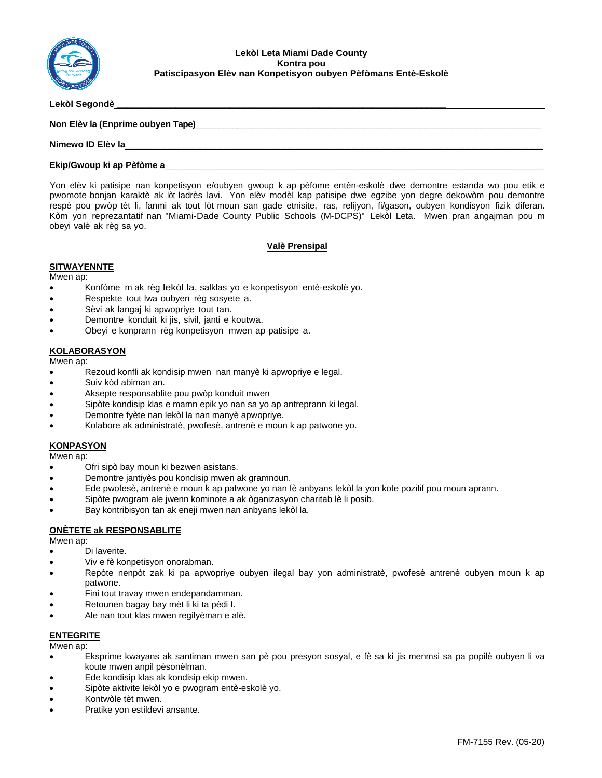

Lekòl Segondè

Non Elèv la (Enprime oubyen Tape)

#### **Nimewo ID Elèv la\_\_\_\_\_\_\_\_\_\_\_\_\_\_\_\_\_\_\_\_\_\_\_\_\_\_\_\_\_\_\_\_\_\_\_\_\_\_\_\_\_\_\_\_\_\_\_\_\_\_\_\_\_\_\_\_\_\_\_**

#### **Ekip/Gwoup ki ap Pèfòme a\_\_\_\_\_\_\_\_\_\_\_\_\_\_\_\_\_\_\_\_\_\_\_\_\_\_\_\_\_\_\_\_\_\_\_\_\_\_\_\_\_\_\_\_\_\_\_\_\_\_\_\_\_\_\_\_\_\_\_\_\_\_\_\_\_\_\_\_\_\_\_\_\_\_\_\_\_**

Yon elèv ki patisipe nan konpetisyon e/oubyen gwoup k ap pèfome entèn-eskolè dwe demontre estanda wo pou etik e pwomote bonjan karaktè ak lòt ladrès lavi. Yon elèv modèl kap patisipe dwe egzibe yon degre dekowòm pou demontre respè pou pwòp tèt li, fanmi ak tout lòt moun san gade etnisite, ras, relijyon, fi/gason, oubyen kondisyon fizik diferan. Kòm yon reprezantatif nan "Miami-Dade County Public Schools (M-DCPS)" Lekòl Leta. Mwen pran angajman pou m obeyi valè ak règ sa yo.

## **Valè Prensipal**

#### **SITWAYENNTE**

Mwen ap:

- Konfòme m ak règ lekòl la, salklas yo e konpetisyon entè-eskolè yo.
- Respekte tout lwa oubyen règ sosyete a.
- Sèvi ak langaj ki apwopriye tout tan.
- Demontre konduit ki jis, sivil, janti e koutwa.
- Obeyi e konprann règ konpetisyon mwen ap patisipe a.

## **KOLABORASYON**

Mwen ap:

- Rezoud konfli ak kondisip mwen nan manyè ki apwopriye e legal.
- Suiv kòd abiman an.
- Aksepte responsablite pou pwòp konduit mwen
- Sipòte kondisip klas e mamn epik yo nan sa yo ap antreprann ki legal.
- Demontre fyète nan lekòl la nan manyè apwopriye.
- Kolabore ak administratè, pwofesè, antrenè e moun k ap patwone yo.

# **KONPASYON**

Mwen ap:

- Ofri sipò bay moun ki bezwen asistans.
- Demontre jantiyès pou kondisip mwen ak gramnoun.
- Ede pwofesè, antrenè e moun k ap patwone yo nan fè anbyans lekòl la yon kote pozitif pou moun aprann.
- Sipòte pwogram ale jwenn kominote a ak òganizasyon charitab lè li posib.
- Bay kontribisyon tan ak eneji mwen nan anbyans lekòl la.

#### **ONÈTETE ak RESPONSABLITE**

Mwen ap:

- Di laverite.
- Viv e fè konpetisyon onorabman.
- Repòte nenpòt zak ki pa apwopriye oubyen ilegal bay yon administratè, pwofesè antrenè oubyen moun k ap patwone.
- Fini tout travay mwen endepandamman.
- Retounen bagay bay mèt li ki ta pèdi I.
- Ale nan tout klas mwen regilyèman e alè.

#### **ENTEGRITE**

Mwen ap:

- Eksprime kwayans ak santiman mwen san pè pou presyon sosyal, e fè sa ki jis menmsi sa pa popilè oubyen li va koute mwen anpil pèsonèlman.
- Ede kondisip klas ak kondisip ekip mwen.
- Sipòte aktivite lekòl yo e pwogram entè-eskolè yo.
- Kontwòle tèt mwen.
- Pratike yon estildevi ansante.